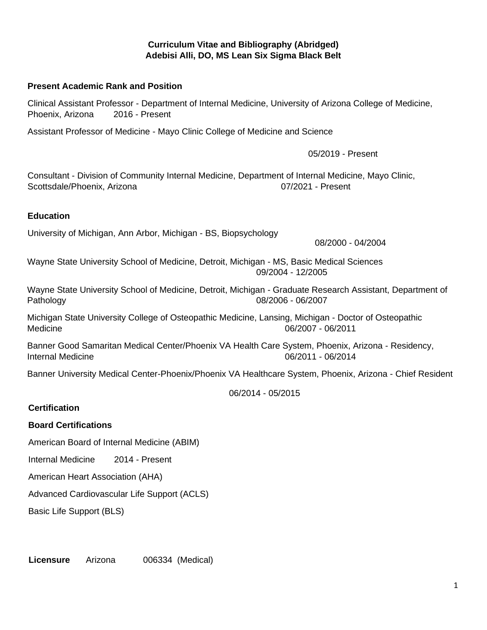**Curriculum Vitae and Bibliography (Abridged) Adebisi Alli, DO, MS Lean Six Sigma Black Belt**

## **Present Academic R[ank and Position](mailto:Alli.Adebisi@mayo.edu)**

Clinical Assistant Professor - Department of Internal Medicine, University of Arizona College of Medicine, Phoenix, Arizona 2016 - Present

Assistant Professor of Medicine - Mayo Clinic College of Medicine and Science

05/2019 - Present

Consultant - Division of Community Internal Medicine, Department of Internal Medicine, Mayo Clinic, Scottsdale/Phoenix, Arizona 07/2021 - Present

#### **Education**

University of Michigan, Ann Arbor, Michigan - BS, Biopsychology

08/2000 - 04/2004

Wayne State University School of Medicine, Detroit, Michigan - MS, Basic Medical Sciences 09/2004 - 12/2005

Wayne State University School of Medicine, Detroit, Michigan - Graduate Research Assistant, Department of Pathology 08/2006 - 06/2007

Michigan State University College of Osteopathic Medicine, Lansing, Michigan - Doctor of Osteopathic Medicine 06/2007 - 06/2011

Banner Good Samaritan Medical Center/Phoenix VA Health Care System, Phoenix, Arizona - Residency, Internal Medicine 06/2011 - 06/2014

Banner University Medical Center-Phoenix/Phoenix VA Healthcare System, Phoenix, Arizona - Chief Resident

06/2014 - 05/2015

## **Certification**

## **Board Certifications**

American Board of Internal Medicine (ABIM)

Internal Medicine 2014 - Present

American Heart Association (AHA)

Advanced Cardiovascular Life Support (ACLS)

Basic Life Support (BLS)

**Licensure** Arizona 006334 (Medical)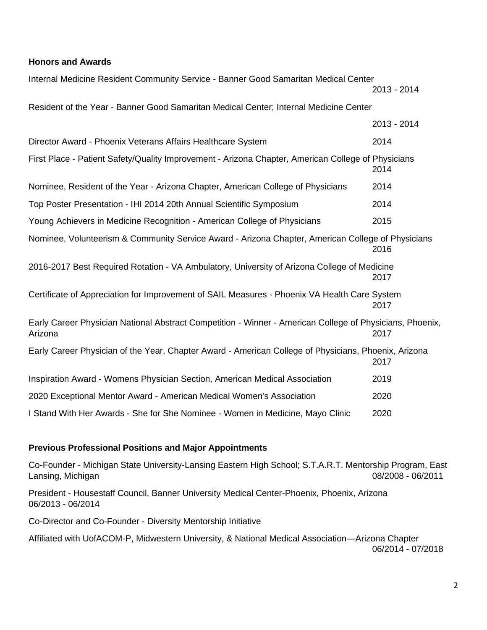## **Honors and Awards**

| Internal Medicine Resident Community Service - Banner Good Samaritan Medical Center                                 |             |
|---------------------------------------------------------------------------------------------------------------------|-------------|
|                                                                                                                     | 2013 - 2014 |
| Resident of the Year - Banner Good Samaritan Medical Center; Internal Medicine Center                               |             |
|                                                                                                                     | 2013 - 2014 |
| Director Award - Phoenix Veterans Affairs Healthcare System                                                         | 2014        |
| First Place - Patient Safety/Quality Improvement - Arizona Chapter, American College of Physicians                  | 2014        |
| Nominee, Resident of the Year - Arizona Chapter, American College of Physicians                                     | 2014        |
| Top Poster Presentation - IHI 2014 20th Annual Scientific Symposium                                                 | 2014        |
| Young Achievers in Medicine Recognition - American College of Physicians                                            | 2015        |
| Nominee, Volunteerism & Community Service Award - Arizona Chapter, American College of Physicians                   | 2016        |
| 2016-2017 Best Required Rotation - VA Ambulatory, University of Arizona College of Medicine                         | 2017        |
| Certificate of Appreciation for Improvement of SAIL Measures - Phoenix VA Health Care System                        | 2017        |
| Early Career Physician National Abstract Competition - Winner - American College of Physicians, Phoenix,<br>Arizona | 2017        |
| Early Career Physician of the Year, Chapter Award - American College of Physicians, Phoenix, Arizona                | 2017        |
| Inspiration Award - Womens Physician Section, American Medical Association                                          | 2019        |
| 2020 Exceptional Mentor Award - American Medical Women's Association                                                | 2020        |
| I Stand With Her Awards - She for She Nominee - Women in Medicine, Mayo Clinic                                      | 2020        |

#### **Previous Professional Positions and Major Appointments**

Co-Founder - Michigan State University-Lansing Eastern High School; S.T.A.R.T. Mentorship Program, East Lansing, Michigan 2008 - 06/2011

President - Housestaff Council, Banner University Medical Center-Phoenix, Phoenix, Arizona 06/2013 - 06/2014

Co-Director and Co-Founder - Diversity Mentorship Initiative

Affiliated with UofACOM-P, Midwestern University, & National Medical Association—Arizona Chapter 06/2014 - 07/2018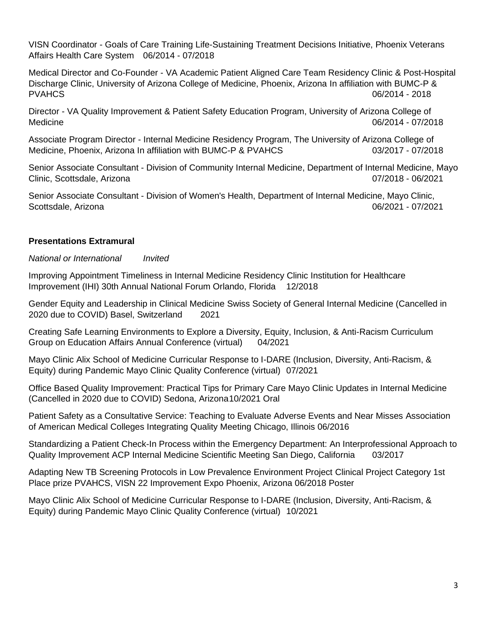VISN Coordinator - Goals of Care Training Life-Sustaining Treatment Decisions Initiative, Phoenix Veterans Affairs Health Care System 06/2014 - 07/2018

Medical Director and Co-Founder - VA Academic Patient Aligned Care Team Residency Clinic & Post-Hospital Discharge Clinic, University of Arizona College of Medicine, Phoenix, Arizona In affiliation with BUMC-P & PVAHCS 06/2014 - 2018

Director - VA Quality Improvement & Patient Safety Education Program, University of Arizona College of Medicine 06/2014 - 07/2018

Associate Program Director - Internal Medicine Residency Program, The University of Arizona College of Medicine, Phoenix, Arizona In affiliation with BUMC-P & PVAHCS 03/2017 - 07/2018

Senior Associate Consultant - Division of Community Internal Medicine, Department of Internal Medicine, Mayo Clinic, Scottsdale, Arizona 07/2018 - 06/2021

Senior Associate Consultant - Division of Women's Health, Department of Internal Medicine, Mayo Clinic, Scottsdale, Arizona 06/2021 - 07/2021

## **Presentations Extramural**

*National or International Invited*

Improving Appointment Timeliness in Internal Medicine Residency Clinic Institution for Healthcare Improvement (IHI) 30th Annual National Forum Orlando, Florida 12/2018

Gender Equity and Leadership in Clinical Medicine Swiss Society of General Internal Medicine (Cancelled in 2020 due to COVID) Basel, Switzerland 2021

Creating Safe Learning Environments to Explore a Diversity, Equity, Inclusion, & Anti-Racism Curriculum Group on Education Affairs Annual Conference (virtual) 04/2021

Mayo Clinic Alix School of Medicine Curricular Response to I-DARE (Inclusion, Diversity, Anti-Racism, & Equity) during Pandemic Mayo Clinic Quality Conference (virtual) 07/2021

Office Based Quality Improvement: Practical Tips for Primary Care Mayo Clinic Updates in Internal Medicine (Cancelled in 2020 due to COVID) Sedona, Arizona10/2021 Oral

Patient Safety as a Consultative Service: Teaching to Evaluate Adverse Events and Near Misses Association of American Medical Colleges Integrating Quality Meeting Chicago, Illinois 06/2016

Standardizing a Patient Check-In Process within the Emergency Department: An Interprofessional Approach to Quality Improvement ACP Internal Medicine Scientific Meeting San Diego, California 03/2017

Adapting New TB Screening Protocols in Low Prevalence Environment Project Clinical Project Category 1st Place prize PVAHCS, VISN 22 Improvement Expo Phoenix, Arizona 06/2018 Poster

Mayo Clinic Alix School of Medicine Curricular Response to I-DARE (Inclusion, Diversity, Anti-Racism, & Equity) during Pandemic Mayo Clinic Quality Conference (virtual) 10/2021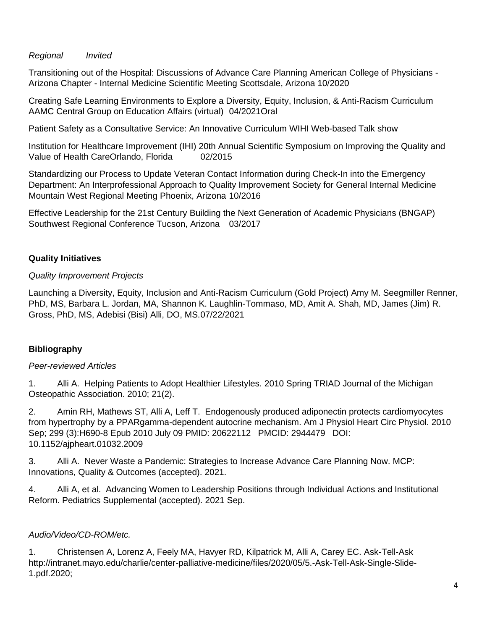## *Regional Invited*

Transitioning out of the Hospital: Discussions of Advance Care Planning American College of Physicians - Arizona Chapter - Internal Medicine Scientific Meeting Scottsdale, Arizona 10/2020

Creating Safe Learning Environments to Explore a Diversity, Equity, Inclusion, & Anti-Racism Curriculum AAMC Central Group on Education Affairs (virtual) 04/2021Oral

Patient Safety as a Consultative Service: An Innovative Curriculum WIHI Web-based Talk show

Institution for Healthcare Improvement (IHI) 20th Annual Scientific Symposium on Improving the Quality and Value of Health CareOrlando, Florida 02/2015

Standardizing our Process to Update Veteran Contact Information during Check-In into the Emergency Department: An Interprofessional Approach to Quality Improvement Society for General Internal Medicine Mountain West Regional Meeting Phoenix, Arizona 10/2016

Effective Leadership for the 21st Century Building the Next Generation of Academic Physicians (BNGAP) Southwest Regional Conference Tucson, Arizona 03/2017

# **Quality Initiatives**

# *Quality Improvement Projects*

Launching a Diversity, Equity, Inclusion and Anti-Racism Curriculum (Gold Project) Amy M. Seegmiller Renner, PhD, MS, Barbara L. Jordan, MA, Shannon K. Laughlin-Tommaso, MD, Amit A. Shah, MD, James (Jim) R. Gross, PhD, MS, Adebisi (Bisi) Alli, DO, MS.07/22/2021

# **Bibliography**

# *Peer-reviewed Articles*

1. Alli A. Helping Patients to Adopt Healthier Lifestyles. 2010 Spring TRIAD Journal of the Michigan Osteopathic Association. 2010; 21(2).

2. Amin RH, Mathews ST, Alli A, Leff T. Endogenously produced adiponectin protects cardiomyocytes from hypertrophy by a PPARgamma-dependent autocrine mechanism. Am J Physiol Heart Circ Physiol. 2010 Sep; 299 (3):H690-8 Epub 2010 July 09 PMID: 20622112 PMCID: 2944479 DOI: 10.1152/ajpheart.01032.2009

3. Alli A. Never Waste a Pandemic: Strategies to Increase Advance Care Planning Now. MCP: Innovations, Quality & Outcomes (accepted). 2021.

4. Alli A, et al. Advancing Women to Leadership Positions through Individual Actions and Institutional Reform. Pediatrics Supplemental (accepted). 2021 Sep.

# *Audio/Video/CD-ROM/etc.*

1. Christensen A, Lorenz A, Feely MA, Havyer RD, Kilpatrick M, Alli A, Carey EC. Ask-Tell-Ask http://intranet.mayo.edu/charlie/center-palliative-medicine/files/2020/05/5.-Ask-Tell-Ask-Single-Slide-1.pdf.2020;